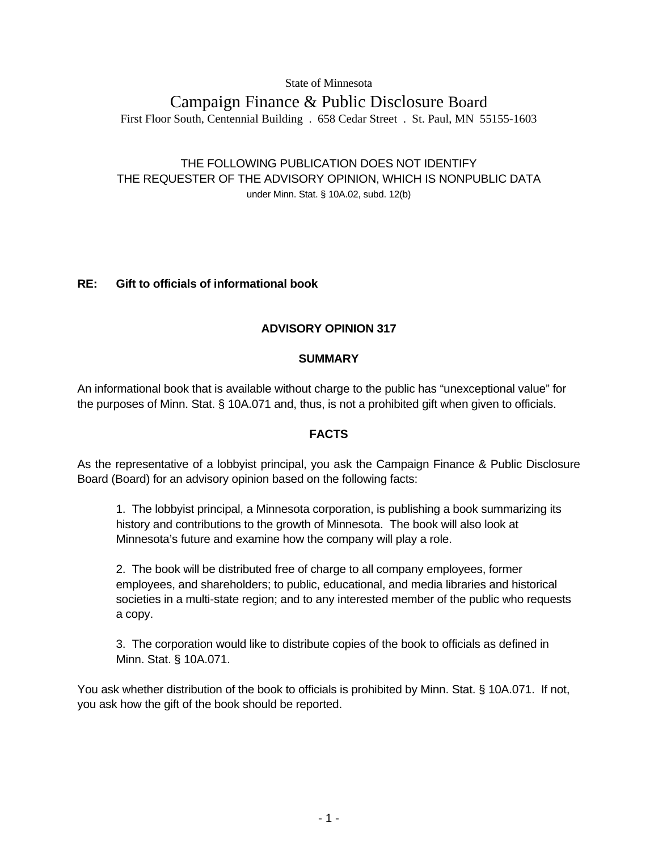State of Minnesota

# Campaign Finance & Public Disclosure Board First Floor South, Centennial Building . 658 Cedar Street . St. Paul, MN 55155-1603

## THE FOLLOWING PUBLICATION DOES NOT IDENTIFY THE REQUESTER OF THE ADVISORY OPINION, WHICH IS NONPUBLIC DATA under Minn. Stat. § 10A.02, subd. 12(b)

## **RE: Gift to officials of informational book**

## **ADVISORY OPINION 317**

## **SUMMARY**

An informational book that is available without charge to the public has "unexceptional value" for the purposes of Minn. Stat. § 10A.071 and, thus, is not a prohibited gift when given to officials.

## **FACTS**

As the representative of a lobbyist principal, you ask the Campaign Finance & Public Disclosure Board (Board) for an advisory opinion based on the following facts:

1. The lobbyist principal, a Minnesota corporation, is publishing a book summarizing its history and contributions to the growth of Minnesota. The book will also look at Minnesota's future and examine how the company will play a role.

2. The book will be distributed free of charge to all company employees, former employees, and shareholders; to public, educational, and media libraries and historical societies in a multi-state region; and to any interested member of the public who requests a copy.

3. The corporation would like to distribute copies of the book to officials as defined in Minn. Stat. § 10A.071.

You ask whether distribution of the book to officials is prohibited by Minn. Stat. § 10A.071. If not, you ask how the gift of the book should be reported.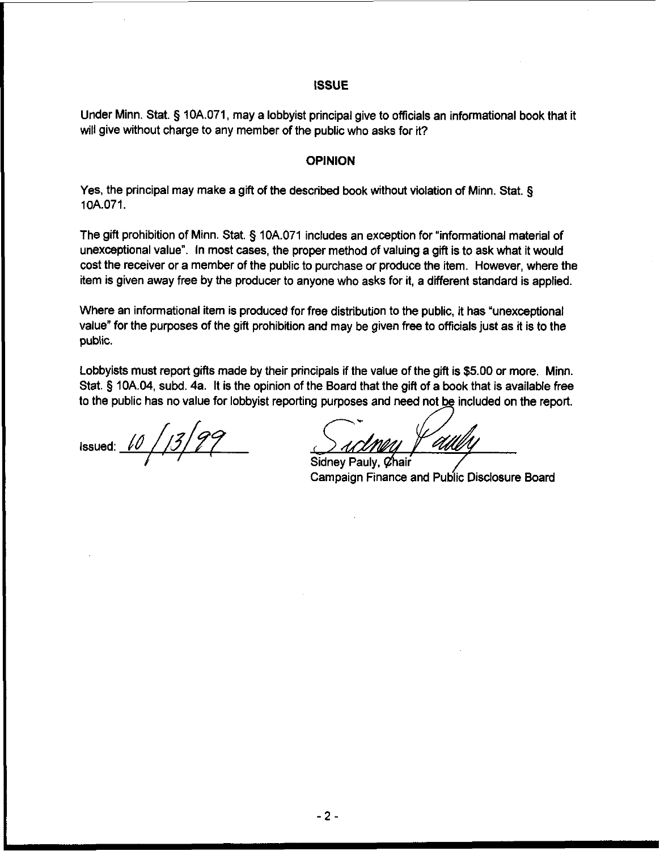#### **ISSUE**

Under Minn. Stat. § 10A.071, may a lobbyist principal give to officials an informational book that it will give without charge to any member of the public who asks for it?

### OPINION

Yes, the principal may make a gift of the described book without violation of Minn. Stat. **5**  10A.071.

The gifl prohibition of Minn. Stat. § 10A.071 includes an exception for "informational material of unexceptional value". In most cases, the proper method of valuing a gift is to ask what it would cost the receiver or a member of the public to purchase or produce the item. However, where the item is given away free by the producer to anyone who asks for it, a different standard is applied.

Where an informational item is produced for free distribution to the public, it has "unexceptional value" for the purposes of the gifl prohibition and may be given free to officials just as it is to the public.

Lobbyists must report gifts made by their principals if the value of the gift is \$5.00 or more. Minn. Stat. **5** 10A.04, subd. 4a. It is the opinion of the Board that the gifl of a book that is available free to the public has no value for lobbyist reporting purposes and need not be included on the report. **A** 

Issued:  $\sqrt{\frac{1}{2}}$ 

Sidney Pauly, Chair Campaign Finance and Public Disclosure Board